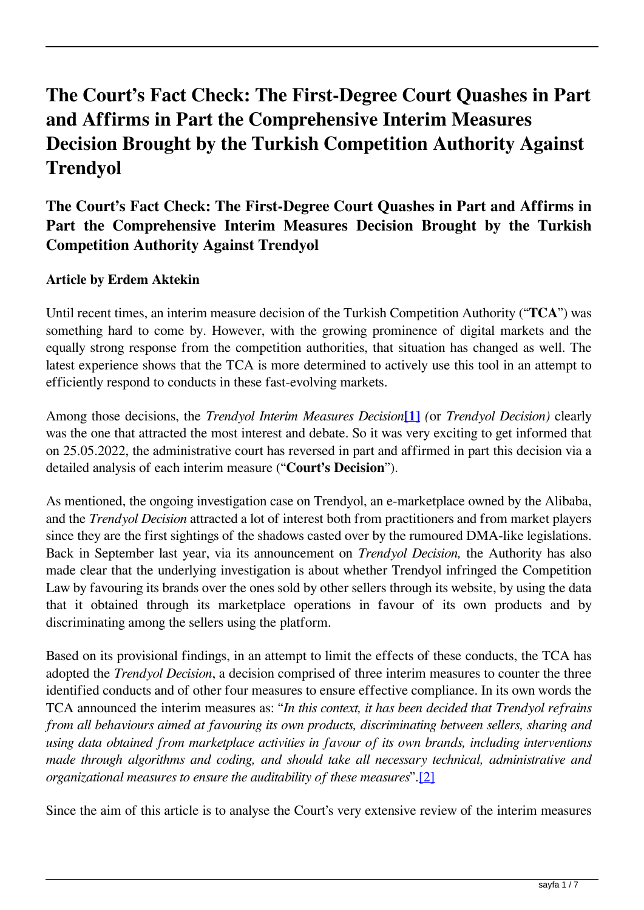# **The Court's Fact Check: The First-Degree Court Quashes in Part and Affirms in Part the Comprehensive Interim Measures Decision Brought by the Turkish Competition Authority Against Trendyol**

## **The Court's Fact Check: The First-Degree Court Quashes in Part and Affirms in Part the Comprehensive Interim Measures Decision Brought by the Turkish Competition Authority Against Trendyol**

#### **Article by Erdem Aktekin**

Until recent times, an interim measure decision of the Turkish Competition Authority ("**TCA**") was something hard to come by. However, with the growing prominence of digital markets and the equally strong response from the competition authorities, that situation has changed as well. The latest experience shows that the TCA is more determined to actively use this tool in an attempt to efficiently respond to conducts in these fast-evolving markets.

Among those decisions, the *Trendyol Interim Measures Decision***[1]** *(*or *Trendyol Decision)* clearly was the one that attracted the most interest and debate. So it was very exciting to get informed that on 25.05.2022, the administrative court has reversed in part and affirmed in part this decision via a detailed analysis of each interim measure ("**Court's Decision**").

As mentioned, the ongoing investigation case on Trendyol, an e-marketplace owned by the Alibaba, and the *Trendyol Decision* attracted a lot of interest both from practitioners and from market players since they are the first sightings of the shadows casted over by the rumoured DMA-like legislations. Back in September last year, via its announcement on *Trendyol Decision,* the Authority has also made clear that the underlying investigation is about whether Trendyol infringed the Competition Law by favouring its brands over the ones sold by other sellers through its website, by using the data that it obtained through its marketplace operations in favour of its own products and by discriminating among the sellers using the platform.

Based on its provisional findings, in an attempt to limit the effects of these conducts, the TCA has adopted the *Trendyol Decision*, a decision comprised of three interim measures to counter the three identified conducts and of other four measures to ensure effective compliance. In its own words the TCA announced the interim measures as: "*In this context, it has been decided that Trendyol refrains from all behaviours aimed at favouring its own products, discriminating between sellers, sharing and using data obtained from marketplace activities in favour of its own brands, including interventions made through algorithms and coding, and should take all necessary technical, administrative and organizational measures to ensure the auditability of these measures*".[2]

Since the aim of this article is to analyse the Court's very extensive review of the interim measures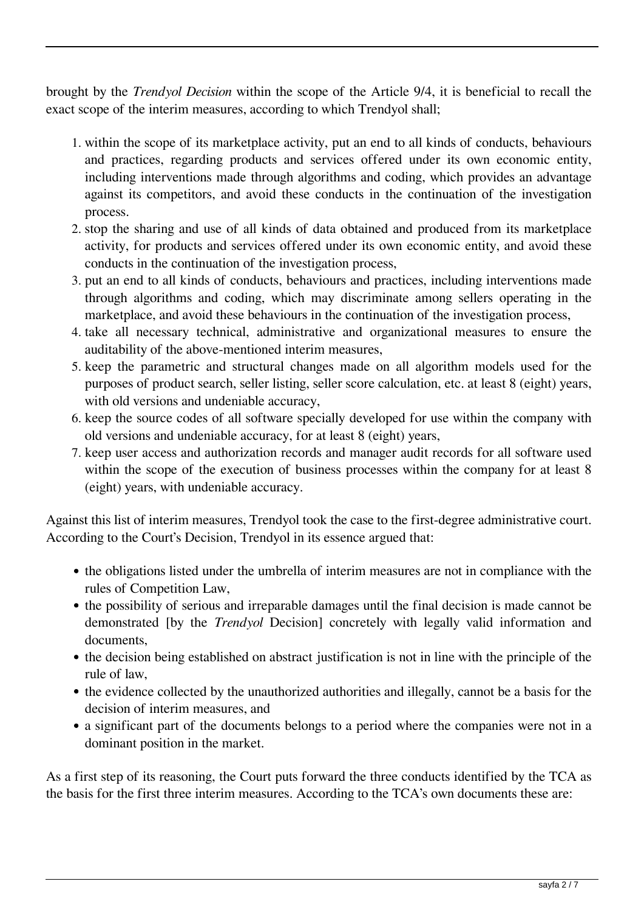brought by the *Trendyol Decision* within the scope of the Article 9/4, it is beneficial to recall the exact scope of the interim measures, according to which Trendyol shall;

- 1. within the scope of its marketplace activity, put an end to all kinds of conducts, behaviours and practices, regarding products and services offered under its own economic entity, including interventions made through algorithms and coding, which provides an advantage against its competitors, and avoid these conducts in the continuation of the investigation process.
- 2. stop the sharing and use of all kinds of data obtained and produced from its marketplace activity, for products and services offered under its own economic entity, and avoid these conducts in the continuation of the investigation process,
- 3. put an end to all kinds of conducts, behaviours and practices, including interventions made through algorithms and coding, which may discriminate among sellers operating in the marketplace, and avoid these behaviours in the continuation of the investigation process,
- 4. take all necessary technical, administrative and organizational measures to ensure the auditability of the above-mentioned interim measures,
- 5. keep the parametric and structural changes made on all algorithm models used for the purposes of product search, seller listing, seller score calculation, etc. at least 8 (eight) years, with old versions and undeniable accuracy,
- 6. keep the source codes of all software specially developed for use within the company with old versions and undeniable accuracy, for at least 8 (eight) years,
- 7. keep user access and authorization records and manager audit records for all software used within the scope of the execution of business processes within the company for at least 8 (eight) years, with undeniable accuracy.

Against this list of interim measures, Trendyol took the case to the first-degree administrative court. According to the Court's Decision, Trendyol in its essence argued that:

- the obligations listed under the umbrella of interim measures are not in compliance with the rules of Competition Law,
- the possibility of serious and irreparable damages until the final decision is made cannot be demonstrated [by the *Trendyol* Decision] concretely with legally valid information and documents,
- the decision being established on abstract justification is not in line with the principle of the rule of law,
- the evidence collected by the unauthorized authorities and illegally, cannot be a basis for the decision of interim measures, and
- a significant part of the documents belongs to a period where the companies were not in a dominant position in the market.

As a first step of its reasoning, the Court puts forward the three conducts identified by the TCA as the basis for the first three interim measures. According to the TCA's own documents these are: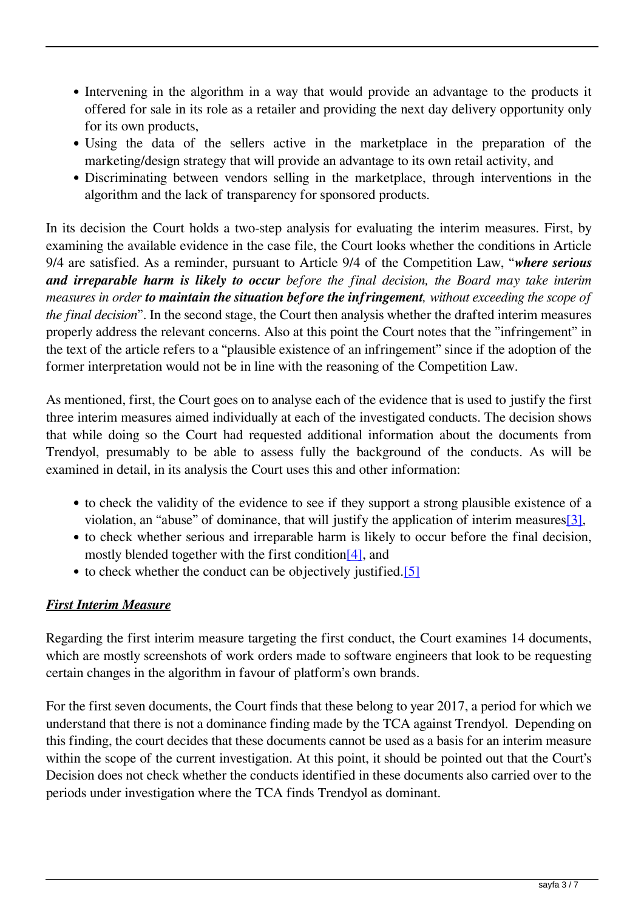- Intervening in the algorithm in a way that would provide an advantage to the products it offered for sale in its role as a retailer and providing the next day delivery opportunity only for its own products,
- Using the data of the sellers active in the marketplace in the preparation of the marketing/design strategy that will provide an advantage to its own retail activity, and
- Discriminating between vendors selling in the marketplace, through interventions in the algorithm and the lack of transparency for sponsored products.

In its decision the Court holds a two-step analysis for evaluating the interim measures. First, by examining the available evidence in the case file, the Court looks whether the conditions in Article 9/4 are satisfied. As a reminder, pursuant to Article 9/4 of the Competition Law, "*where serious and irreparable harm is likely to occur before the final decision, the Board may take interim measures in order to maintain the situation before the infringement, without exceeding the scope of the final decision*". In the second stage, the Court then analysis whether the drafted interim measures properly address the relevant concerns. Also at this point the Court notes that the "infringement" in the text of the article refers to a "plausible existence of an infringement" since if the adoption of the former interpretation would not be in line with the reasoning of the Competition Law.

As mentioned, first, the Court goes on to analyse each of the evidence that is used to justify the first three interim measures aimed individually at each of the investigated conducts. The decision shows that while doing so the Court had requested additional information about the documents from Trendyol, presumably to be able to assess fully the background of the conducts. As will be examined in detail, in its analysis the Court uses this and other information:

- to check the validity of the evidence to see if they support a strong plausible existence of a violation, an "abuse" of dominance, that will justify the application of interim measures[3],
- to check whether serious and irreparable harm is likely to occur before the final decision, mostly blended together with the first condition[4], and
- to check whether the conduct can be objectively justified.[5]

### *First Interim Measure*

Regarding the first interim measure targeting the first conduct, the Court examines 14 documents, which are mostly screenshots of work orders made to software engineers that look to be requesting certain changes in the algorithm in favour of platform's own brands.

For the first seven documents, the Court finds that these belong to year 2017, a period for which we understand that there is not a dominance finding made by the TCA against Trendyol. Depending on this finding, the court decides that these documents cannot be used as a basis for an interim measure within the scope of the current investigation. At this point, it should be pointed out that the Court's Decision does not check whether the conducts identified in these documents also carried over to the periods under investigation where the TCA finds Trendyol as dominant.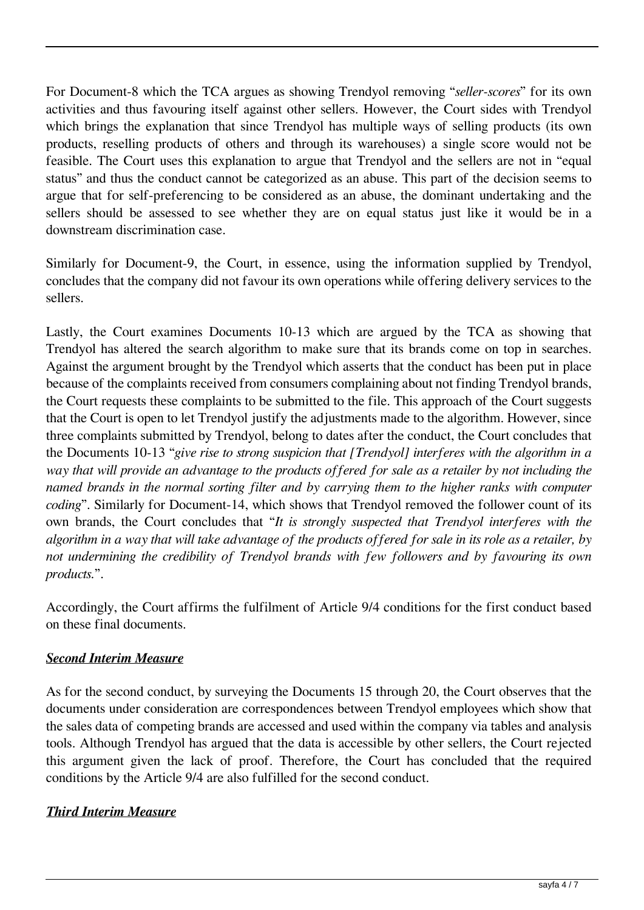For Document-8 which the TCA argues as showing Trendyol removing "*seller-scores*" for its own activities and thus favouring itself against other sellers. However, the Court sides with Trendyol which brings the explanation that since Trendyol has multiple ways of selling products (its own products, reselling products of others and through its warehouses) a single score would not be feasible. The Court uses this explanation to argue that Trendyol and the sellers are not in "equal status" and thus the conduct cannot be categorized as an abuse. This part of the decision seems to argue that for self-preferencing to be considered as an abuse, the dominant undertaking and the sellers should be assessed to see whether they are on equal status just like it would be in a downstream discrimination case.

Similarly for Document-9, the Court, in essence, using the information supplied by Trendyol, concludes that the company did not favour its own operations while offering delivery services to the sellers.

Lastly, the Court examines Documents 10-13 which are argued by the TCA as showing that Trendyol has altered the search algorithm to make sure that its brands come on top in searches. Against the argument brought by the Trendyol which asserts that the conduct has been put in place because of the complaints received from consumers complaining about not finding Trendyol brands, the Court requests these complaints to be submitted to the file. This approach of the Court suggests that the Court is open to let Trendyol justify the adjustments made to the algorithm. However, since three complaints submitted by Trendyol, belong to dates after the conduct, the Court concludes that the Documents 10-13 "*give rise to strong suspicion that [Trendyol] interferes with the algorithm in a way that will provide an advantage to the products offered for sale as a retailer by not including the named brands in the normal sorting filter and by carrying them to the higher ranks with computer coding*". Similarly for Document-14, which shows that Trendyol removed the follower count of its own brands, the Court concludes that "*It is strongly suspected that Trendyol interferes with the algorithm in a way that will take advantage of the products offered for sale in its role as a retailer, by not undermining the credibility of Trendyol brands with few followers and by favouring its own products.*".

Accordingly, the Court affirms the fulfilment of Article 9/4 conditions for the first conduct based on these final documents.

### *Second Interim Measure*

As for the second conduct, by surveying the Documents 15 through 20, the Court observes that the documents under consideration are correspondences between Trendyol employees which show that the sales data of competing brands are accessed and used within the company via tables and analysis tools. Although Trendyol has argued that the data is accessible by other sellers, the Court rejected this argument given the lack of proof. Therefore, the Court has concluded that the required conditions by the Article 9/4 are also fulfilled for the second conduct.

### *Third Interim Measure*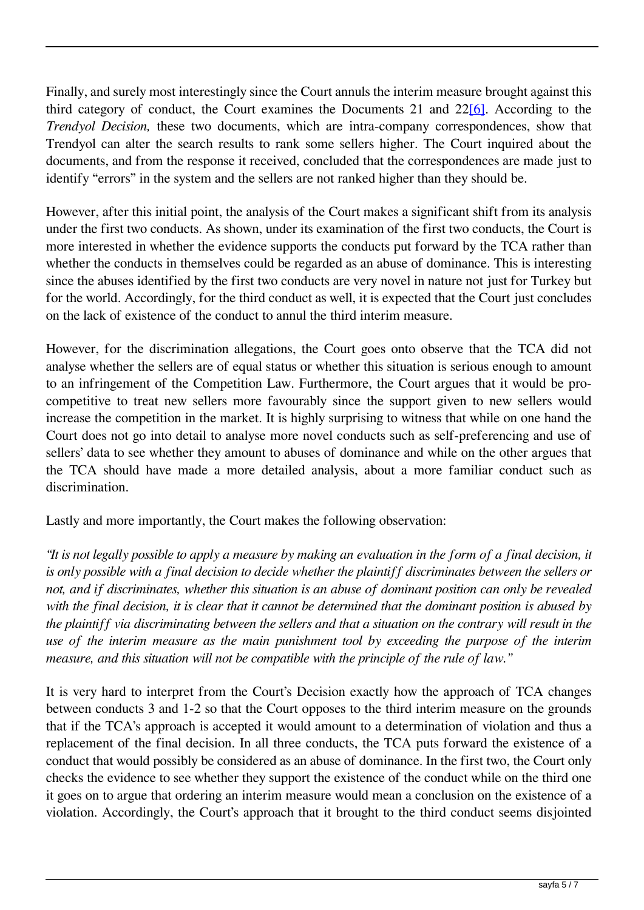Finally, and surely most interestingly since the Court annuls the interim measure brought against this third category of conduct, the Court examines the Documents 21 and 22[6]. According to the *Trendyol Decision,* these two documents, which are intra-company correspondences, show that Trendyol can alter the search results to rank some sellers higher. The Court inquired about the documents, and from the response it received, concluded that the correspondences are made just to identify "errors" in the system and the sellers are not ranked higher than they should be.

However, after this initial point, the analysis of the Court makes a significant shift from its analysis under the first two conducts. As shown, under its examination of the first two conducts, the Court is more interested in whether the evidence supports the conducts put forward by the TCA rather than whether the conducts in themselves could be regarded as an abuse of dominance. This is interesting since the abuses identified by the first two conducts are very novel in nature not just for Turkey but for the world. Accordingly, for the third conduct as well, it is expected that the Court just concludes on the lack of existence of the conduct to annul the third interim measure.

However, for the discrimination allegations, the Court goes onto observe that the TCA did not analyse whether the sellers are of equal status or whether this situation is serious enough to amount to an infringement of the Competition Law. Furthermore, the Court argues that it would be procompetitive to treat new sellers more favourably since the support given to new sellers would increase the competition in the market. It is highly surprising to witness that while on one hand the Court does not go into detail to analyse more novel conducts such as self-preferencing and use of sellers' data to see whether they amount to abuses of dominance and while on the other argues that the TCA should have made a more detailed analysis, about a more familiar conduct such as discrimination.

Lastly and more importantly, the Court makes the following observation:

*"It is not legally possible to apply a measure by making an evaluation in the form of a final decision, it is only possible with a final decision to decide whether the plaintiff discriminates between the sellers or not, and if discriminates, whether this situation is an abuse of dominant position can only be revealed with the final decision, it is clear that it cannot be determined that the dominant position is abused by the plaintiff via discriminating between the sellers and that a situation on the contrary will result in the use of the interim measure as the main punishment tool by exceeding the purpose of the interim measure, and this situation will not be compatible with the principle of the rule of law."*

It is very hard to interpret from the Court's Decision exactly how the approach of TCA changes between conducts 3 and 1-2 so that the Court opposes to the third interim measure on the grounds that if the TCA's approach is accepted it would amount to a determination of violation and thus a replacement of the final decision. In all three conducts, the TCA puts forward the existence of a conduct that would possibly be considered as an abuse of dominance. In the first two, the Court only checks the evidence to see whether they support the existence of the conduct while on the third one it goes on to argue that ordering an interim measure would mean a conclusion on the existence of a violation. Accordingly, the Court's approach that it brought to the third conduct seems disjointed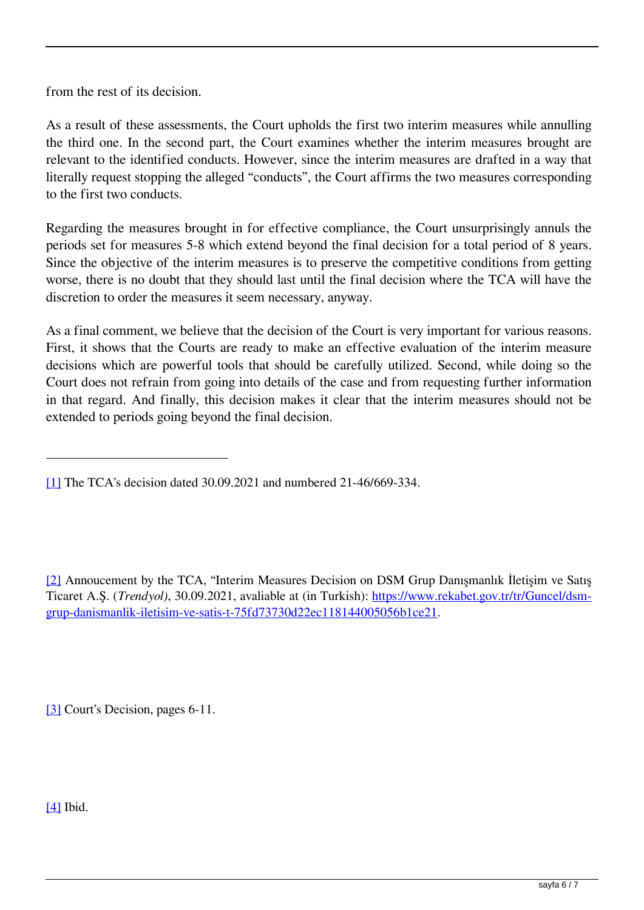from the rest of its decision.

As a result of these assessments, the Court upholds the first two interim measures while annulling the third one. In the second part, the Court examines whether the interim measures brought are relevant to the identified conducts. However, since the interim measures are drafted in a way that literally request stopping the alleged "conducts", the Court affirms the two measures corresponding to the first two conducts.

Regarding the measures brought in for effective compliance, the Court unsurprisingly annuls the periods set for measures 5-8 which extend beyond the final decision for a total period of 8 years. Since the objective of the interim measures is to preserve the competitive conditions from getting worse, there is no doubt that they should last until the final decision where the TCA will have the discretion to order the measures it seem necessary, anyway.

As a final comment, we believe that the decision of the Court is very important for various reasons. First, it shows that the Courts are ready to make an effective evaluation of the interim measure decisions which are powerful tools that should be carefully utilized. Second, while doing so the Court does not refrain from going into details of the case and from requesting further information in that regard. And finally, this decision makes it clear that the interim measures should not be extended to periods going beyond the final decision.

[2] Annoucement by the TCA, "Interim Measures Decision on DSM Grup Danışmanlık İletişim ve Satış Ticaret A.Ş. (*Trendyol)*, 30.09.2021, avaliable at (in Turkish): [https://www.rekabet.gov.tr/tr/Guncel/dsm](https://www.rekabet.gov.tr/tr/Guncel/dsm-grup-danismanlik-iletisim-ve-satis-t-75fd73730d22ec118144005056b1ce21)[grup-danismanlik-iletisim-ve-satis-t-75fd73730d22ec118144005056b1ce21](https://www.rekabet.gov.tr/tr/Guncel/dsm-grup-danismanlik-iletisim-ve-satis-t-75fd73730d22ec118144005056b1ce21).

[3] Court's Decision, pages 6-11.

[4] Ibid.

<sup>[1]</sup> The TCA's decision dated 30.09.2021 and numbered 21-46/669-334.